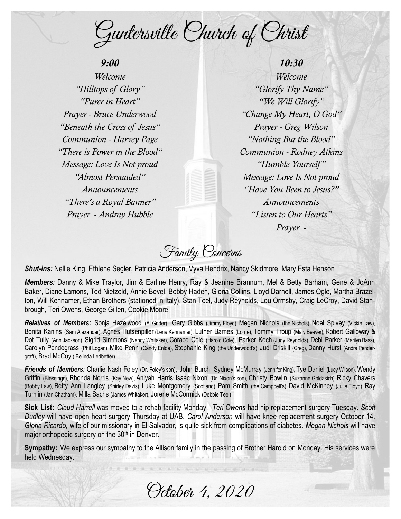Guntersville Church of Christ

# *9:00*

*Welcome "Hilltops of Glory" "Purer in Heart" Prayer - Bruce Underwood "Beneath the Cross of Jesus" Communion - Harvey Page "There is Power in the Blood" Message: Love Is Not proud "Almost Persuaded" Announcements "There's a Royal Banner" Prayer - Andray Hubble*

*10:30 Welcome "Glorify Thy Name" "We Will Glorify" "Change My Heart, O God" Prayer - Greg Wilson "Nothing But the Blood" Communion - Rodney Atkins "Humble Yourself " Message: Love Is Not proud "Have You Been to Jesus?" Announcements "Listen to Our Hearts" Prayer -*

Family Concerns

*Shut-ins:* Nellie King, Ethlene Segler, Patricia Anderson, Vyva Hendrix, Nancy Skidmore, Mary Esta Henson

*Members:* Danny & Mike Traylor, Jim & Earline Henry, Ray & Jeanine Brannum, Mel & Betty Barham, Gene & JoAnn Baker, Diane Lamons, Ted Nietzold, Annie Bevel, Bobby Haden, Gloria Collins, Lloyd Darnell, James Ogle, Martha Brazelton, Will Kennamer, Ethan Brothers (stationed in Italy), Stan Teel, Judy Reynolds, Lou Ormsby, Craig LeCroy, David Stanbrough, Teri Owens, George Gillen, Cookie Moore

*Relatives of Members:* Sonja Hazelwood (Al Grider), Gary Gibbs (Jimmy Floyd), Megan Nichols (the Nichols), Noel Spivey (Vickie Law), Bonita Kanins (Sam Alexander), Agnes Hutsenpiller (Lena Kennamer), Luther Barnes (Lome), Tommy Troup (Mary Beaver), Robert Galloway & Dot Tully (Ann Jackson), Sigrid Simmons (Nancy Whitaker), Corace Cole (Harold Cole), Parker Koch (Judy Reynolds), Debi Parker (Marilyn Bass), Carolyn Pendegrass (Phil Logan), Mike Penn (Candy Enloe), Stephanie King (the Underwood's), Judi Driskill (Greg), Danny Hurst (Andra Pendergraft), Brad McCoy ( Belinda Ledbetter)

**Friends of Members**: Charlie Nash Foley (Dr. Foley's son), John Burch; Sydney McMurray (Jennifer King), Tye Daniel (Lucy Wilson), Wendy Griffin (Blessings), Rhonda Norris (Kay New), Aniyah Harris; Isaac Nixon (Dr. Nixon's son), Christy Bowlin (Suzanne Goldasich), Ricky Chavers (Bobby Law), Betty Ann Langley (Shirley Davis), Luke Montgomery (Scotland), Pam Smith (the Campbell's), David McKinney (Julie Floyd), Ray Tumlin (Jan Chatham), Milla Sachs (James Whitaker), Jorene McCormick (Debbie Teel)

**Sick List:** *Claud Harrell* was moved to a rehab facility Monday. *Teri Owens* had hip replacement surgery Tuesday. *Scott Dudley* will have open heart surgery Thursday at UAB. *Carol Anderson* will have knee replacement surgery October 14. *Gloria Ricardo,* wife of our missionary in El Salvador, is quite sick from complications of diabetes. *Megan Nichols* will have major orthopedic surgery on the 30<sup>th</sup> in Denver.

**Sympathy:** We express our sympathy to the Allison family in the passing of Brother Harold on Monday. His services were held Wednesday.

October 4, 2020